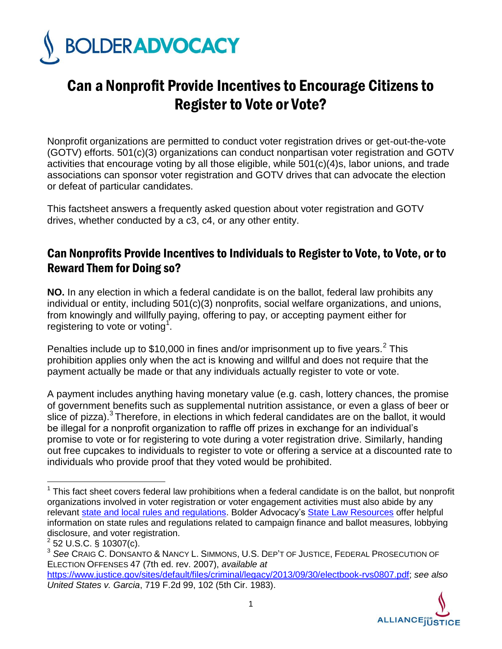

## Can a Nonprofit Provide Incentives to Encourage Citizens to Register to Vote or Vote?

Nonprofit organizations are permitted to conduct voter registration drives or get-out-the-vote (GOTV) efforts. 501(c)(3) organizations can conduct nonpartisan voter registration and GOTV activities that encourage voting by all those eligible, while 501(c)(4)s, labor unions, and trade associations can sponsor voter registration and GOTV drives that can advocate the election or defeat of particular candidates.

This factsheet answers a frequently asked question about voter registration and GOTV drives, whether conducted by a c3, c4, or any other entity.

## Can Nonprofits Provide Incentives to Individuals to Register to Vote, to Vote, or to Reward Them for Doing so?

**NO.** In any election in which a federal candidate is on the ballot, federal law prohibits any individual or entity, including 501(c)(3) nonprofits, social welfare organizations, and unions, from knowingly and willfully paying, offering to pay, or accepting payment either for registering to vote or voting<sup>1</sup>.

Penalties include up to \$10,000 in fines and/or imprisonment up to five years.<sup>2</sup> This prohibition applies only when the act is knowing and willful and does not require that the payment actually be made or that any individuals actually register to vote or vote.

A payment includes anything having monetary value (e.g. cash, lottery chances, the promise of government benefits such as supplemental nutrition assistance, or even a glass of beer or slice of pizza).<sup>3</sup> Therefore, in elections in which federal candidates are on the ballot, it would be illegal for a nonprofit organization to raffle off prizes in exchange for an individual's promise to vote or for registering to vote during a voter registration drive. Similarly, handing out free cupcakes to individuals to register to vote or offering a service at a discounted rate to individuals who provide proof that they voted would be prohibited.

 $\overline{a}$ 

[https://www.justice.gov/sites/default/files/criminal/legacy/2013/09/30/electbook-rvs0807.pdf;](https://www.justice.gov/sites/default/files/criminal/legacy/2013/09/30/electbook-rvs0807.pdf) *see also United States v. Garcia*, 719 F.2d 99, 102 (5th Cir. 1983).



 $1$  This fact sheet covers federal law prohibitions when a federal candidate is on the ballot, but nonprofit organizations involved in voter registration or voter engagement activities must also abide by any relevant [state and local rules and regulations.](http://bolderadvocacy.org/navigate-the-rules/state-resources?fqstates=#RESOURCES) Bolder Advocacy's [State Law Resources](http://bolderadvocacy.org/navigate-the-rules/state-resources) offer helpful information on state rules and regulations related to campaign finance and ballot measures, lobbying disclosure, and voter registration.

 $2$  52 U.S.C. § 10307(c).

<sup>3</sup> *See* CRAIG C. DONSANTO & NANCY L. SIMMONS, U.S. DEP'T OF JUSTICE, FEDERAL PROSECUTION OF ELECTION OFFENSES 47 (7th ed. rev. 2007), *available at*